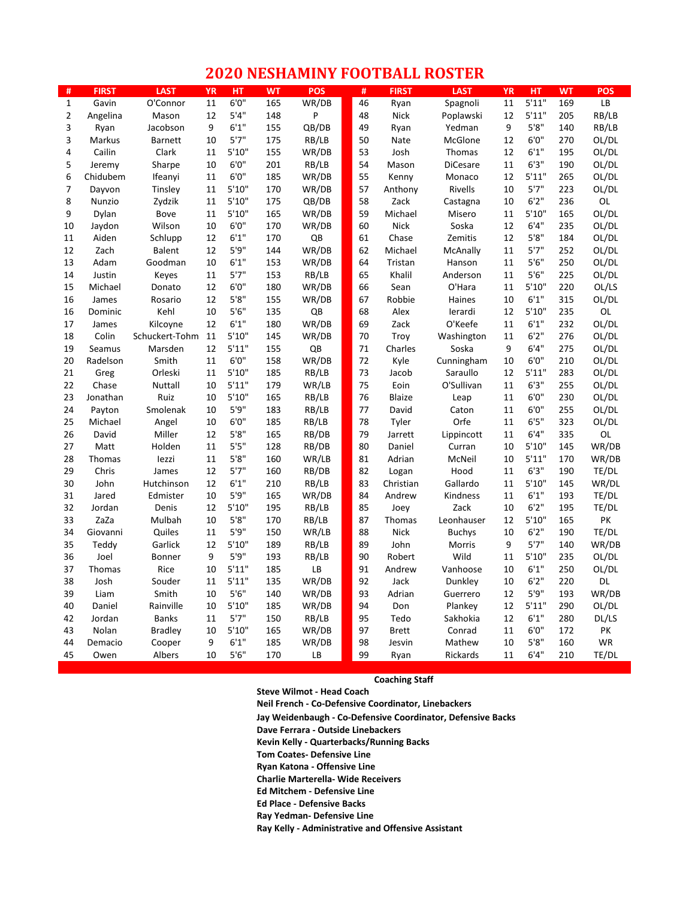## **2020 NESHAMINY FOOTBALL ROSTER**

| #              | <b>FIRST</b> | <b>LAST</b>    | <b>YR</b> | HT              | <b>WT</b> | <b>POS</b> | #        | <b>FIRST</b>  | <b>LAST</b>     | <b>YR</b> | <b>HT</b>      | <b>WT</b> | <b>POS</b> |
|----------------|--------------|----------------|-----------|-----------------|-----------|------------|----------|---------------|-----------------|-----------|----------------|-----------|------------|
| $\mathbf{1}$   | Gavin        | O'Connor       | 11        | 6'0''           | 165       | WR/DB      | 46       | Ryan          | Spagnoli        | 11        | 5'11"          | 169       | LB         |
| $\overline{2}$ | Angelina     | Mason          | 12        | 5'4''           | 148       | P          | 48       | <b>Nick</b>   | Poplawski       | 12        | 5'11"          | 205       | RB/LB      |
| 3              | Ryan         | Jacobson       | 9         | 6'1''           | 155       | QB/DB      | 49       | Ryan          | Yedman          | 9         | 5'8''          | 140       | RB/LB      |
| 3              | Markus       | <b>Barnett</b> | 10        | 5'7''           | 175       | RB/LB      | 50       | Nate          | McGlone         | 12        | 6'0''          | 270       | OL/DL      |
| 4              | Cailin       | Clark          | 11        | 5'10''          | 155       | WR/DB      | 53       | Josh          | Thomas          | 12        | 6'1''          | 195       | OL/DL      |
| 5              | Jeremy       | Sharpe         | 10        | 6'0''           | 201       | RB/LB      | 54       | Mason         | <b>DiCesare</b> | 11        | 6'3''          | 190       | OL/DL      |
| 6              | Chidubem     | Ifeanyi        | 11        | 6'0''           | 185       | WR/DB      | 55       | Kenny         | Monaco          | 12        | 5'11"          | 265       | OL/DL      |
| $\overline{7}$ | Dayvon       | Tinsley        | 11        | 5'10''          | 170       | WR/DB      | 57       | Anthony       | Rivells         | 10        | 5'7''          | 223       | OL/DL      |
| 8              | Nunzio       | Zydzik         | 11        | 5'10''          | 175       | QB/DB      | 58       | Zack          | Castagna        | 10        | 6'2''          | 236       | OL         |
| 9              | Dylan        | Bove           | 11        | 5'10''          | 165       | WR/DB      | 59       | Michael       | Misero          | 11        | 5'10''         | 165       | OL/DL      |
| 10             | Jaydon       | Wilson         | 10        | 6'0''           | 170       | WR/DB      | 60       | <b>Nick</b>   | Soska           | 12        | 6'4''          | 235       | OL/DL      |
| 11             | Aiden        | Schlupp        | 12        | 6'1''           | 170       | QB         | 61       | Chase         | Zemitis         | 12        | 5'8''          | 184       | OL/DL      |
| 12             | Zach         | <b>Balent</b>  | 12        | 5'9"            | 144       | WR/DB      | 62       | Michael       | McAnally        | 11        | 5'7''          | 252       | OL/DL      |
| 13             | Adam         | Goodman        | 10        | 6'1''           | 153       | WR/DB      | 64       | Tristan       | Hanson          | 11        | 5'6"           | 250       | OL/DL      |
| 14             | Justin       | Keyes          | 11        | 5'7''           | 153       | RB/LB      | 65       | Khalil        | Anderson        | 11        | 5'6''          | 225       | OL/DL      |
| 15             | Michael      | Donato         | 12        | 6'0''           | 180       | WR/DB      | 66       | Sean          | O'Hara          | 11        | 5'10''         | 220       | OL/LS      |
| 16             | James        | Rosario        | 12        | 5'8''           | 155       | WR/DB      | 67       | Robbie        | Haines          | 10        | 6'1''          | 315       | OL/DL      |
| 16             | Dominic      | Kehl           | 10        | 5'6''           | 135       | QB         | 68       | Alex          | lerardi         | 12        | 5'10''         | 235       | OL         |
| 17             | James        | Kilcoyne       | 12        | 6'1''           | 180       | WR/DB      | 69       | Zack          | O'Keefe         | 11        | 6'1''          | 232       | OL/DL      |
| 18             | Colin        | Schuckert-Tohm | 11        | 5'10''          | 145       | WR/DB      | 70       | Troy          | Washington      | 11        | 6'2''          | 276       | OL/DL      |
| 19             | Seamus       | Marsden        | 12        | 5'11"           | 155       | QB         | 71       | Charles       | Soska           | 9         | 6'4"           | 275       | OL/DL      |
| 20             | Radelson     | Smith          | 11        | 6'0''           | 158       | WR/DB      | 72       | Kyle          | Cunningham      | 10        | 6'0''          | 210       | OL/DL      |
| 21             | Greg         | Orleski        | 11        | 5'10''          | 185       | RB/LB      | 73       | Jacob         | Saraullo        | 12        | 5'11"          | 283       | OL/DL      |
| 22             | Chase        | Nuttall        | 10        | 5'11"           | 179       | WR/LB      | 75       | Eoin          | O'Sullivan      | 11        | 6'3''          | 255       | OL/DL      |
| 23             | Jonathan     | Ruiz           | 10        | 5'10''          | 165       | RB/LB      | 76       | <b>Blaize</b> | Leap            | 11        | 6'0''          | 230       | OL/DL      |
| 24             | Payton       | Smolenak       | 10        | 5'9''           | 183       | RB/LB      | 77       | David         | Caton           | 11        | 6'0''          | 255       | OL/DL      |
| 25             | Michael      | Angel          | 10        | 6'0''           | 185       | RB/LB      | 78       | Tyler         | Orfe            | 11        | 6'5''          | 323       | OL/DL      |
| 26             | David        | Miller         | 12        | 5'8''           | 165       | RB/DB      | 79       | Jarrett       | Lippincott      | 11        | 6'4''          | 335       | <b>OL</b>  |
| 27             | Matt         | Holden         | 11        | 5'5''           | 128       | RB/DB      | 80       | Daniel        | Curran          | 10        | 5'10''         | 145       | WR/DB      |
| 28             | Thomas       | lezzi          | 11        | 5'8''           | 160       | WR/LB      | 81       | Adrian        | McNeil          | 10        | 5'11"          | 170       | WR/DB      |
| 29             | Chris        | James          | 12        | 5'7''           | 160       | RB/DB      | 82       | Logan         | Hood            | 11        | 6'3''          | 190       | TE/DL      |
| 30             | John         | Hutchinson     | 12        | 6'1''           | 210       | RB/LB      | 83       | Christian     | Gallardo        | 11        | 5'10''         | 145       | WR/DL      |
| 31             | Jared        | Edmister       | 10        | 5'9"            | 165       | WR/DB      | 84       | Andrew        | Kindness        | 11        | 6'1''          | 193       | TE/DL      |
| 32             | Jordan       | Denis          | 12        | 5'10''          | 195       | RB/LB      | 85       | Joey          | Zack            | 10        | 6'2''          | 195       | TE/DL      |
| 33             | ZaZa         | Mulbah         | 10        | 5'8''           | 170       | RB/LB      | 87       | Thomas        | Leonhauser      | 12        | 5'10''         | 165       | PK         |
| 34             | Giovanni     | Quiles         | 11        | 5'9''           | 150       | WR/LB      | 88       | <b>Nick</b>   | <b>Buchys</b>   | 10        | 6'2''          | 190       | TE/DL      |
| 35             | Teddy        | Garlick        | 12        | 5'10''          | 189       | RB/LB      | 89       | John          | Morris          | 9         | 5'7''          | 140       | WR/DB      |
| 36             | Joel         | Bonner         | 9         | 5'9''           | 193       | RB/LB      | 90       | Robert        | Wild            | 11        | 5'10''         | 235       | OL/DL      |
| 37             | Thomas       | Rice           | 10        | 5'11"           | 185       | LB         | 91       | Andrew        | Vanhoose        | 10        | 6'1''          | 250       | OL/DL      |
| 38             | Josh         | Souder         | 11        | 5'11"           | 135       | WR/DB      | 92       | Jack          | Dunkley         | 10        | 6'2''          | 220       | DL         |
| 39             | Liam         | Smith          | 10        | 5'6''           | 140       | WR/DB      | 93<br>94 | Adrian        | Guerrero        | 12        | 5'9"           | 193       | WR/DB      |
| 40             | Daniel       | Rainville      | 10        | 5'10''          | 185       | WR/DB      |          | Don           | Plankey         | 12        | 5'11"          | 290       | OL/DL      |
| 42             | Jordan       | <b>Banks</b>   | 11        | $5'7''$         | 150       | RB/LB      | 95       | Tedo          | Sakhokia        | 12        | 6'1''          | 280       | DL/LS      |
| 43             | Nolan        | <b>Bradley</b> | 10<br>9   | 5'10''<br>6'1'' | 165       | WR/DB      | 97       | <b>Brett</b>  | Conrad          | 11        | 6'0''<br>5'8'' | 172       | PK         |
| 44             | Demacio      | Cooper         |           |                 | 185       | WR/DB      | 98       | Jesvin        | Mathew          | 10        |                | 160       | <b>WR</b>  |
| 45             | Owen         | Albers         | 10        | 5'6''           | 170       | LB         | 99       | Ryan          | Rickards        | 11        | 6'4''          | 210       | TE/DL      |

**Coaching Staff**

**Steve Wilmot - Head Coach Neil French - Co-Defensive Coordinator, Linebackers Jay Weidenbaugh - Co-Defensive Coordinator, Defensive Backs Dave Ferrara - Outside Linebackers Kevin Kelly - Quarterbacks/Running Backs Tom Coates- Defensive Line Ryan Katona - Offensive Line Charlie Marterella- Wide Receivers Ed Mitchem - Defensive Line Ed Place - Defensive Backs Ray Yedman- Defensive Line Ray Kelly - Administrative and Offensive Assistant**